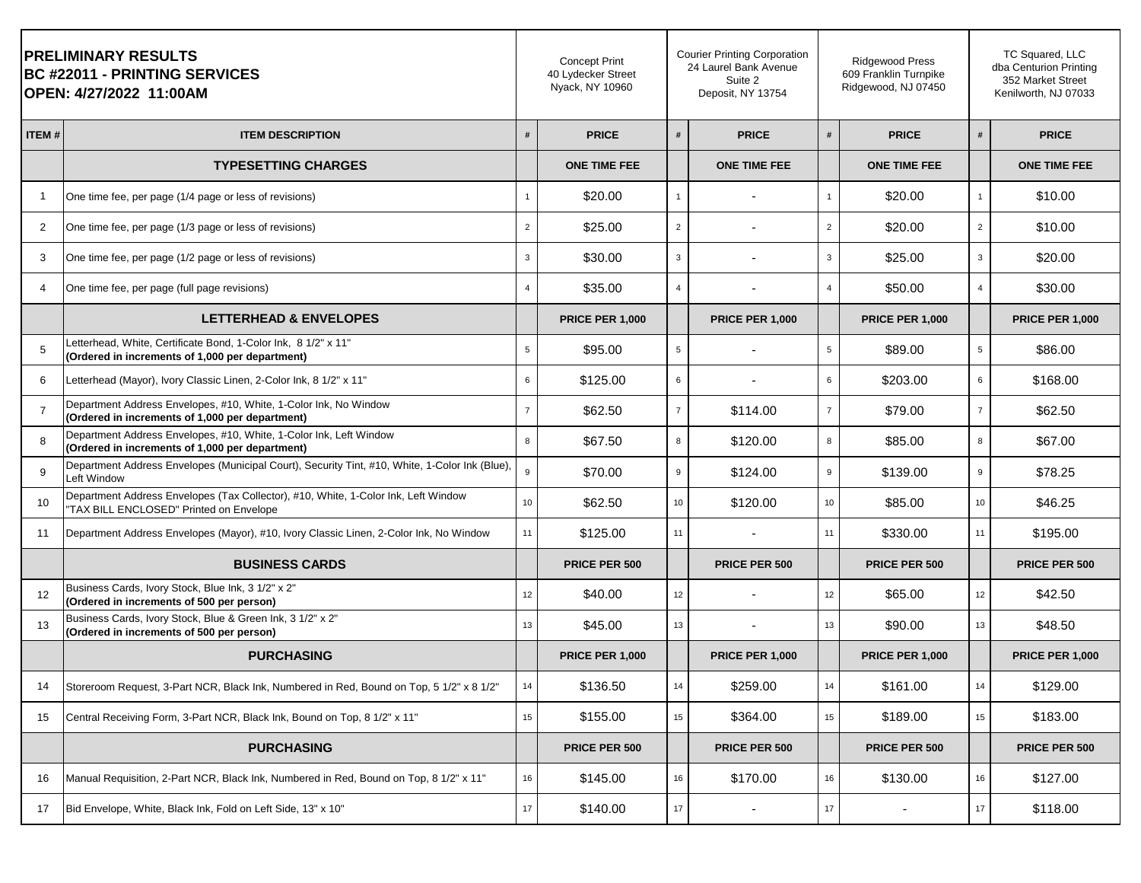| <b>PRELIMINARY RESULTS</b><br><b>BC #22011 - PRINTING SERVICES</b><br> OPEN: 4/27/2022 11:00AM |                                                                                                                               | <b>Concept Print</b><br>40 Lydecker Street<br>Nyack, NY 10960 |                        | <b>Courier Printing Corporation</b><br>24 Laurel Bank Avenue<br>Suite 2<br>Deposit, NY 13754 |                        | <b>Ridgewood Press</b><br>609 Franklin Turnpike<br>Ridgewood, NJ 07450 |                        |                 | TC Squared, LLC<br>dba Centurion Printing<br>352 Market Street<br>Kenilworth, NJ 07033 |  |
|------------------------------------------------------------------------------------------------|-------------------------------------------------------------------------------------------------------------------------------|---------------------------------------------------------------|------------------------|----------------------------------------------------------------------------------------------|------------------------|------------------------------------------------------------------------|------------------------|-----------------|----------------------------------------------------------------------------------------|--|
| ITEM#                                                                                          | <b>ITEM DESCRIPTION</b>                                                                                                       | #                                                             | <b>PRICE</b>           | #                                                                                            | <b>PRICE</b>           | #                                                                      | <b>PRICE</b>           | #               | <b>PRICE</b>                                                                           |  |
|                                                                                                | <b>TYPESETTING CHARGES</b>                                                                                                    |                                                               | <b>ONE TIME FEE</b>    |                                                                                              | <b>ONE TIME FEE</b>    |                                                                        | <b>ONE TIME FEE</b>    |                 | <b>ONE TIME FEE</b>                                                                    |  |
| -1                                                                                             | One time fee, per page (1/4 page or less of revisions)                                                                        | $\mathbf{1}$                                                  | \$20.00                | $\mathbf{1}$                                                                                 |                        | $\mathbf{1}$                                                           | \$20.00                | $\mathbf{1}$    | \$10.00                                                                                |  |
| 2                                                                                              | One time fee, per page (1/3 page or less of revisions)                                                                        | $\overline{2}$                                                | \$25.00                | $\overline{2}$                                                                               |                        | $\overline{2}$                                                         | \$20.00                | $\overline{2}$  | \$10.00                                                                                |  |
| 3                                                                                              | One time fee, per page (1/2 page or less of revisions)                                                                        | $\mathbf{3}$                                                  | \$30.00                | $\mathbf{3}$                                                                                 |                        | $\mathbf{3}$                                                           | \$25.00                | 3               | \$20.00                                                                                |  |
| 4                                                                                              | One time fee, per page (full page revisions)                                                                                  | $\overline{4}$                                                | \$35.00                | $\overline{4}$                                                                               |                        | $\overline{4}$                                                         | \$50.00                | $\overline{4}$  | \$30.00                                                                                |  |
|                                                                                                | <b>LETTERHEAD &amp; ENVELOPES</b>                                                                                             |                                                               | <b>PRICE PER 1,000</b> |                                                                                              | <b>PRICE PER 1,000</b> |                                                                        | <b>PRICE PER 1,000</b> |                 | <b>PRICE PER 1,000</b>                                                                 |  |
| 5                                                                                              | Letterhead, White, Certificate Bond, 1-Color Ink, 8 1/2" x 11"<br>(Ordered in increments of 1,000 per department)             | 5                                                             | \$95.00                | $5\overline{5}$                                                                              |                        | 5                                                                      | \$89.00                | $5\overline{5}$ | \$86.00                                                                                |  |
| 6                                                                                              | Letterhead (Mayor), Ivory Classic Linen, 2-Color Ink, 8 1/2" x 11"                                                            | 6                                                             | \$125.00               | 6                                                                                            |                        | 6                                                                      | \$203.00               | 6               | \$168.00                                                                               |  |
| $\overline{7}$                                                                                 | Department Address Envelopes, #10, White, 1-Color Ink, No Window<br>(Ordered in increments of 1,000 per department)           | $\overline{7}$                                                | \$62.50                | $\overline{7}$                                                                               | \$114.00               | $\overline{7}$                                                         | \$79.00                | $\overline{7}$  | \$62.50                                                                                |  |
| 8                                                                                              | Department Address Envelopes, #10, White, 1-Color Ink, Left Window<br>(Ordered in increments of 1,000 per department)         | 8                                                             | \$67.50                | 8                                                                                            | \$120.00               | 8                                                                      | \$85.00                | 8               | \$67.00                                                                                |  |
| 9                                                                                              | Department Address Envelopes (Municipal Court), Security Tint, #10, White, 1-Color Ink (Blue),<br>Left Window                 | 9                                                             | \$70.00                | 9                                                                                            | \$124.00               | 9                                                                      | \$139.00               | 9               | \$78.25                                                                                |  |
| 10                                                                                             | Department Address Envelopes (Tax Collector), #10, White, 1-Color Ink, Left Window<br>"TAX BILL ENCLOSED" Printed on Envelope | 10 <sub>1</sub>                                               | \$62.50                | 10 <sub>1</sub>                                                                              | \$120.00               | 10 <sub>1</sub>                                                        | \$85.00                | 10 <sub>1</sub> | \$46.25                                                                                |  |
| 11                                                                                             | Department Address Envelopes (Mayor), #10, Ivory Classic Linen, 2-Color Ink, No Window                                        | 11                                                            | \$125.00               | 11                                                                                           |                        | 11                                                                     | \$330.00               | 11              | \$195.00                                                                               |  |
|                                                                                                | <b>BUSINESS CARDS</b>                                                                                                         |                                                               | PRICE PER 500          |                                                                                              | PRICE PER 500          |                                                                        | PRICE PER 500          |                 | PRICE PER 500                                                                          |  |
| 12                                                                                             | Business Cards, Ivory Stock, Blue Ink, 3 1/2" x 2"<br>(Ordered in increments of 500 per person)                               | 12                                                            | \$40.00                | 12                                                                                           |                        | 12                                                                     | \$65.00                | 12              | \$42.50                                                                                |  |
| 13                                                                                             | Business Cards, Ivory Stock, Blue & Green Ink, 3 1/2" x 2"<br>(Ordered in increments of 500 per person)                       | 13                                                            | \$45.00                | 13                                                                                           |                        | 13                                                                     | \$90.00                | 13              | \$48.50                                                                                |  |
|                                                                                                | <b>PURCHASING</b>                                                                                                             |                                                               | <b>PRICE PER 1,000</b> |                                                                                              | <b>PRICE PER 1,000</b> |                                                                        | <b>PRICE PER 1,000</b> |                 | <b>PRICE PER 1,000</b>                                                                 |  |
| 14                                                                                             | Storeroom Request, 3-Part NCR, Black Ink, Numbered in Red, Bound on Top, 5 1/2" x 8 1/2"                                      | 14                                                            | \$136.50               | 14                                                                                           | \$259.00               | 14                                                                     | \$161.00               | 14              | \$129.00                                                                               |  |
| 15                                                                                             | Central Receiving Form, 3-Part NCR, Black Ink, Bound on Top, 8 1/2" x 11"                                                     | 15                                                            | \$155.00               | 15                                                                                           | \$364.00               | 15                                                                     | \$189.00               | 15              | \$183.00                                                                               |  |
|                                                                                                | <b>PURCHASING</b>                                                                                                             |                                                               | PRICE PER 500          |                                                                                              | PRICE PER 500          |                                                                        | PRICE PER 500          |                 | PRICE PER 500                                                                          |  |
| 16                                                                                             | Manual Requisition, 2-Part NCR, Black Ink, Numbered in Red, Bound on Top, 8 1/2" x 11"                                        | 16                                                            | \$145.00               | 16                                                                                           | \$170.00               | 16                                                                     | \$130.00               | 16              | \$127.00                                                                               |  |
| 17                                                                                             | Bid Envelope, White, Black Ink, Fold on Left Side, 13" x 10"                                                                  | 17                                                            | \$140.00               | 17                                                                                           |                        | 17                                                                     |                        | 17              | \$118.00                                                                               |  |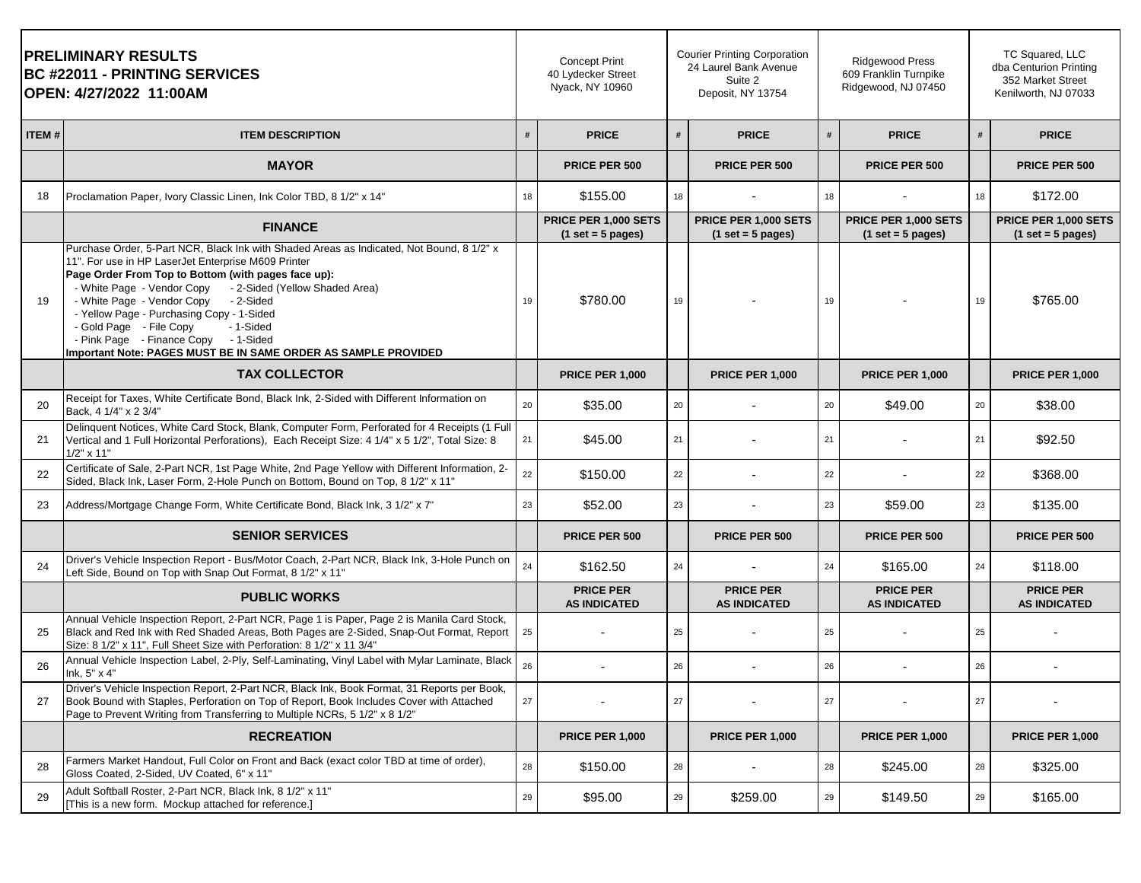|       | <b>PRELIMINARY RESULTS</b><br><b>BC #22011 - PRINTING SERVICES</b><br>OPEN: 4/27/2022 11:00AM                                                                                                                                                                                                                                                                                                                                                                                                                  |    | <b>Concept Print</b><br>40 Lydecker Street<br>Nyack, NY 10960 |    | <b>Courier Printing Corporation</b><br>24 Laurel Bank Avenue<br>Suite 2<br>Deposit, NY 13754 |    | <b>Ridgewood Press</b><br>609 Franklin Turnpike<br>Ridgewood, NJ 07450 |    | TC Squared, LLC<br>dba Centurion Printing<br>352 Market Street<br>Kenilworth, NJ 07033 |
|-------|----------------------------------------------------------------------------------------------------------------------------------------------------------------------------------------------------------------------------------------------------------------------------------------------------------------------------------------------------------------------------------------------------------------------------------------------------------------------------------------------------------------|----|---------------------------------------------------------------|----|----------------------------------------------------------------------------------------------|----|------------------------------------------------------------------------|----|----------------------------------------------------------------------------------------|
| ITEM# | <b>ITEM DESCRIPTION</b>                                                                                                                                                                                                                                                                                                                                                                                                                                                                                        | #  | <b>PRICE</b>                                                  | #  | <b>PRICE</b>                                                                                 | #  | <b>PRICE</b>                                                           |    | <b>PRICE</b>                                                                           |
|       | <b>MAYOR</b>                                                                                                                                                                                                                                                                                                                                                                                                                                                                                                   |    | <b>PRICE PER 500</b>                                          |    | <b>PRICE PER 500</b>                                                                         |    | PRICE PER 500                                                          |    | PRICE PER 500                                                                          |
| 18    | Proclamation Paper, Ivory Classic Linen, Ink Color TBD, 8 1/2" x 14"                                                                                                                                                                                                                                                                                                                                                                                                                                           | 18 | \$155.00                                                      | 18 |                                                                                              | 18 |                                                                        | 18 | \$172.00                                                                               |
|       | <b>FINANCE</b>                                                                                                                                                                                                                                                                                                                                                                                                                                                                                                 |    | PRICE PER 1,000 SETS<br>$(1 set = 5 pages)$                   |    | PRICE PER 1,000 SETS<br>$(1 set = 5 pages)$                                                  |    | PRICE PER 1,000 SETS<br>$(1 set = 5 pages)$                            |    | PRICE PER 1,000 SETS<br>$(1 set = 5 pages)$                                            |
| 19    | Purchase Order, 5-Part NCR, Black Ink with Shaded Areas as Indicated, Not Bound, 8 1/2" x<br>11". For use in HP LaserJet Enterprise M609 Printer<br>Page Order From Top to Bottom (with pages face up):<br>- White Page - Vendor Copy - 2-Sided (Yellow Shaded Area)<br>- White Page - Vendor Copy<br>- 2-Sided<br>- Yellow Page - Purchasing Copy - 1-Sided<br>- Gold Page - File Copy<br>- 1-Sided<br>- Pink Page - Finance Copy - 1-Sided<br>Important Note: PAGES MUST BE IN SAME ORDER AS SAMPLE PROVIDED | 19 | \$780.00                                                      | 19 |                                                                                              | 19 |                                                                        | 19 | \$765.00                                                                               |
|       | <b>TAX COLLECTOR</b>                                                                                                                                                                                                                                                                                                                                                                                                                                                                                           |    | <b>PRICE PER 1,000</b>                                        |    | <b>PRICE PER 1,000</b>                                                                       |    | <b>PRICE PER 1,000</b>                                                 |    | <b>PRICE PER 1,000</b>                                                                 |
| 20    | Receipt for Taxes, White Certificate Bond, Black Ink, 2-Sided with Different Information on<br>Back, 4 1/4" x 2 3/4"                                                                                                                                                                                                                                                                                                                                                                                           | 20 | \$35.00                                                       | 20 |                                                                                              | 20 | \$49.00                                                                | 20 | \$38.00                                                                                |
| 21    | Delinquent Notices, White Card Stock, Blank, Computer Form, Perforated for 4 Receipts (1 Full<br>Vertical and 1 Full Horizontal Perforations), Each Receipt Size: 4 1/4" x 5 1/2", Total Size: 8<br>$1/2"$ x 11"                                                                                                                                                                                                                                                                                               | 21 | \$45.00                                                       | 21 |                                                                                              | 21 |                                                                        | 21 | \$92.50                                                                                |
| 22    | Certificate of Sale, 2-Part NCR, 1st Page White, 2nd Page Yellow with Different Information, 2-<br>Sided, Black Ink, Laser Form, 2-Hole Punch on Bottom, Bound on Top, 8 1/2" x 11"                                                                                                                                                                                                                                                                                                                            | 22 | \$150.00                                                      | 22 |                                                                                              | 22 |                                                                        | 22 | \$368.00                                                                               |
| 23    | Address/Mortgage Change Form, White Certificate Bond, Black Ink, 3 1/2" x 7"                                                                                                                                                                                                                                                                                                                                                                                                                                   | 23 | \$52.00                                                       | 23 |                                                                                              | 23 | \$59.00                                                                | 23 | \$135.00                                                                               |
|       | <b>SENIOR SERVICES</b>                                                                                                                                                                                                                                                                                                                                                                                                                                                                                         |    | PRICE PER 500                                                 |    | PRICE PER 500                                                                                |    | PRICE PER 500                                                          |    | PRICE PER 500                                                                          |
| 24    | Driver's Vehicle Inspection Report - Bus/Motor Coach, 2-Part NCR, Black Ink, 3-Hole Punch on<br>Left Side, Bound on Top with Snap Out Format, 8 1/2" x 11"                                                                                                                                                                                                                                                                                                                                                     | 24 | \$162.50                                                      | 24 |                                                                                              | 24 | \$165.00                                                               | 24 | \$118.00                                                                               |
|       | <b>PUBLIC WORKS</b>                                                                                                                                                                                                                                                                                                                                                                                                                                                                                            |    | <b>PRICE PER</b><br><b>AS INDICATED</b>                       |    | <b>PRICE PER</b><br><b>AS INDICATED</b>                                                      |    | <b>PRICE PER</b><br><b>AS INDICATED</b>                                |    | <b>PRICE PER</b><br><b>AS INDICATED</b>                                                |
| 25    | Annual Vehicle Inspection Report, 2-Part NCR, Page 1 is Paper, Page 2 is Manila Card Stock,<br>Black and Red Ink with Red Shaded Areas, Both Pages are 2-Sided, Snap-Out Format, Report<br>Size: 8 1/2" x 11", Full Sheet Size with Perforation: 8 1/2" x 11 3/4"                                                                                                                                                                                                                                              | 25 |                                                               | 25 |                                                                                              | 25 |                                                                        | 25 |                                                                                        |
| 26    | Annual Vehicle Inspection Label, 2-Ply, Self-Laminating, Vinyl Label with Mylar Laminate, Black<br>Ink, 5" x 4"                                                                                                                                                                                                                                                                                                                                                                                                | 26 |                                                               | 26 |                                                                                              | 26 |                                                                        | 26 |                                                                                        |
| 27    | Driver's Vehicle Inspection Report, 2-Part NCR, Black Ink, Book Format, 31 Reports per Book,<br>Book Bound with Staples, Perforation on Top of Report, Book Includes Cover with Attached<br>Page to Prevent Writing from Transferring to Multiple NCRs, 5 1/2" x 8 1/2"                                                                                                                                                                                                                                        | 27 |                                                               | 27 |                                                                                              | 27 |                                                                        | 27 |                                                                                        |
|       | <b>RECREATION</b>                                                                                                                                                                                                                                                                                                                                                                                                                                                                                              |    | <b>PRICE PER 1,000</b>                                        |    | <b>PRICE PER 1,000</b>                                                                       |    | <b>PRICE PER 1,000</b>                                                 |    | <b>PRICE PER 1,000</b>                                                                 |
| 28    | Farmers Market Handout, Full Color on Front and Back (exact color TBD at time of order),<br>Gloss Coated, 2-Sided, UV Coated, 6" x 11"                                                                                                                                                                                                                                                                                                                                                                         | 28 | \$150.00                                                      | 28 |                                                                                              | 28 | \$245.00                                                               | 28 | \$325.00                                                                               |
| 29    | Adult Softball Roster, 2-Part NCR, Black Ink, 8 1/2" x 11"<br>[This is a new form. Mockup attached for reference.]                                                                                                                                                                                                                                                                                                                                                                                             | 29 | \$95.00                                                       | 29 | \$259.00                                                                                     | 29 | \$149.50                                                               | 29 | \$165.00                                                                               |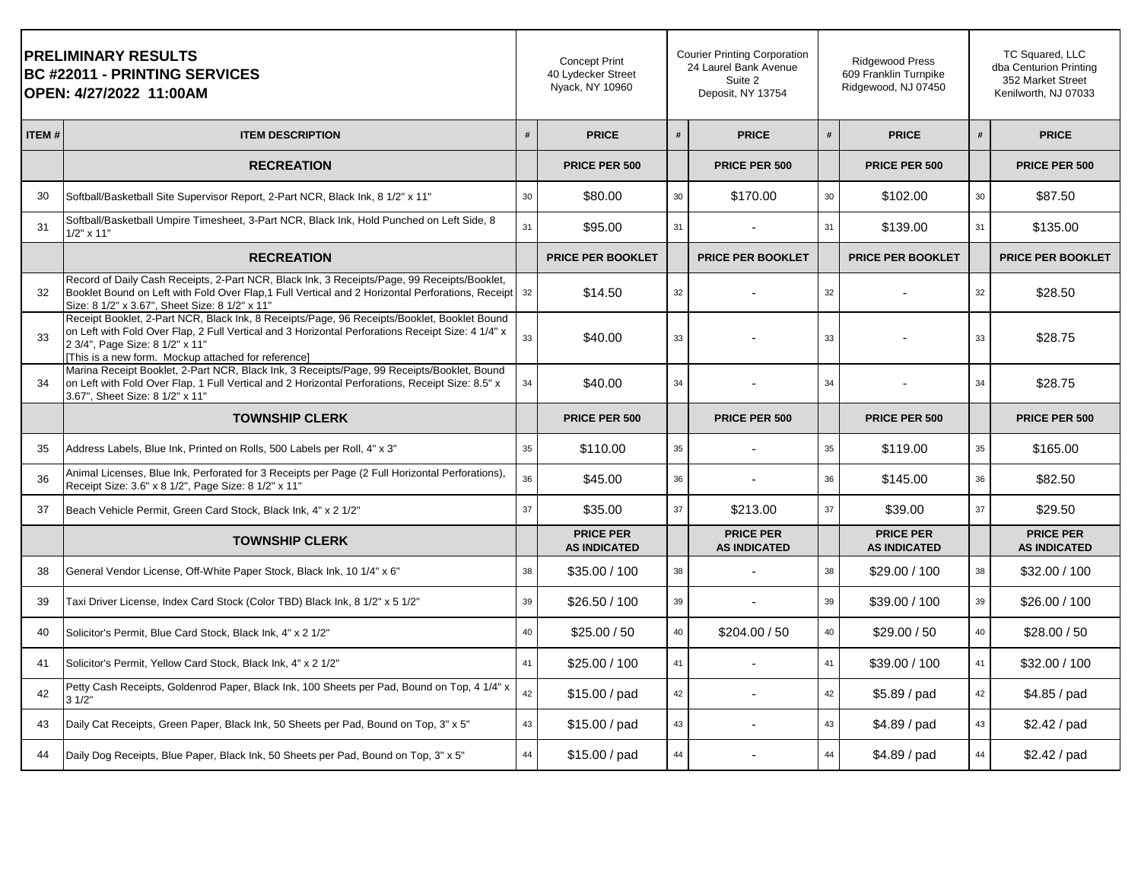|       | <b>PRELIMINARY RESULTS</b><br><b>BC #22011 - PRINTING SERVICES</b><br>OPEN: 4/27/2022 11:00AM                                                                                                                                                                                              |    | <b>Concept Print</b><br>40 Lydecker Street<br>Nyack, NY 10960 |    | <b>Courier Printing Corporation</b><br>24 Laurel Bank Avenue<br>Suite 2<br>Deposit, NY 13754 |    | <b>Ridgewood Press</b><br>609 Franklin Turnpike<br>Ridgewood, NJ 07450 |    | TC Squared, LLC<br>dba Centurion Printing<br>352 Market Street<br>Kenilworth, NJ 07033 |  |
|-------|--------------------------------------------------------------------------------------------------------------------------------------------------------------------------------------------------------------------------------------------------------------------------------------------|----|---------------------------------------------------------------|----|----------------------------------------------------------------------------------------------|----|------------------------------------------------------------------------|----|----------------------------------------------------------------------------------------|--|
| ITEM# | <b>ITEM DESCRIPTION</b>                                                                                                                                                                                                                                                                    | #  | <b>PRICE</b>                                                  | #  | <b>PRICE</b>                                                                                 | #  | <b>PRICE</b>                                                           | #  | <b>PRICE</b>                                                                           |  |
|       | <b>RECREATION</b>                                                                                                                                                                                                                                                                          |    | PRICE PER 500                                                 |    | PRICE PER 500                                                                                |    | PRICE PER 500                                                          |    | PRICE PER 500                                                                          |  |
| 30    | Softball/Basketball Site Supervisor Report, 2-Part NCR, Black Ink, 8 1/2" x 11"                                                                                                                                                                                                            | 30 | \$80.00                                                       | 30 | \$170.00                                                                                     | 30 | \$102.00                                                               | 30 | \$87.50                                                                                |  |
| 31    | Softball/Basketball Umpire Timesheet, 3-Part NCR, Black Ink, Hold Punched on Left Side, 8<br>$1/2" \times 11"$                                                                                                                                                                             | 31 | \$95.00                                                       | 31 |                                                                                              | 31 | \$139.00                                                               | 31 | \$135.00                                                                               |  |
|       | <b>RECREATION</b>                                                                                                                                                                                                                                                                          |    | <b>PRICE PER BOOKLET</b>                                      |    | <b>PRICE PER BOOKLET</b>                                                                     |    | <b>PRICE PER BOOKLET</b>                                               |    | <b>PRICE PER BOOKLET</b>                                                               |  |
| 32    | Record of Daily Cash Receipts, 2-Part NCR, Black Ink, 3 Receipts/Page, 99 Receipts/Booklet,<br>Booklet Bound on Left with Fold Over Flap.1 Full Vertical and 2 Horizontal Perforations, Receipt<br>Size: 8 1/2" x 3.67", Sheet Size: 8 1/2" x 11"                                          | 32 | \$14.50                                                       | 32 |                                                                                              | 32 |                                                                        | 32 | \$28.50                                                                                |  |
| 33    | Receipt Booklet, 2-Part NCR, Black Ink, 8 Receipts/Page, 96 Receipts/Booklet, Booklet Bound<br>on Left with Fold Over Flap, 2 Full Vertical and 3 Horizontal Perforations Receipt Size: 4 1/4" x<br>2 3/4", Page Size: 8 1/2" x 11"<br>[This is a new form. Mockup attached for reference] | 33 | \$40.00                                                       | 33 |                                                                                              | 33 |                                                                        | 33 | \$28.75                                                                                |  |
| 34    | Marina Receipt Booklet, 2-Part NCR, Black Ink, 3 Receipts/Page, 99 Receipts/Booklet, Bound<br>on Left with Fold Over Flap, 1 Full Vertical and 2 Horizontal Perforations, Receipt Size: 8.5" x<br>3.67", Sheet Size: 8 1/2" x 11"                                                          | 34 | \$40.00                                                       | 34 |                                                                                              | 34 |                                                                        | 34 | \$28.75                                                                                |  |
|       | <b>TOWNSHIP CLERK</b>                                                                                                                                                                                                                                                                      |    | <b>PRICE PER 500</b>                                          |    | <b>PRICE PER 500</b>                                                                         |    | PRICE PER 500                                                          |    | <b>PRICE PER 500</b>                                                                   |  |
| 35    | Address Labels, Blue Ink, Printed on Rolls, 500 Labels per Roll, 4" x 3"                                                                                                                                                                                                                   | 35 | \$110.00                                                      | 35 |                                                                                              | 35 | \$119.00                                                               | 35 | \$165.00                                                                               |  |
| 36    | Animal Licenses, Blue Ink, Perforated for 3 Receipts per Page (2 Full Horizontal Perforations),<br>Receipt Size: 3.6" x 8 1/2", Page Size: 8 1/2" x 11"                                                                                                                                    | 36 | \$45.00                                                       | 36 |                                                                                              | 36 | \$145.00                                                               | 36 | \$82.50                                                                                |  |
| 37    | Beach Vehicle Permit, Green Card Stock, Black Ink, 4" x 2 1/2"                                                                                                                                                                                                                             | 37 | \$35.00                                                       | 37 | \$213.00                                                                                     | 37 | \$39.00                                                                | 37 | \$29.50                                                                                |  |
|       | <b>TOWNSHIP CLERK</b>                                                                                                                                                                                                                                                                      |    | <b>PRICE PER</b><br><b>AS INDICATED</b>                       |    | <b>PRICE PER</b><br><b>AS INDICATED</b>                                                      |    | <b>PRICE PER</b><br><b>AS INDICATED</b>                                |    | <b>PRICE PER</b><br><b>AS INDICATED</b>                                                |  |
| 38    | General Vendor License, Off-White Paper Stock, Black Ink, 10 1/4" x 6"                                                                                                                                                                                                                     | 38 | \$35.00 / 100                                                 | 38 |                                                                                              | 38 | \$29.00 / 100                                                          | 38 | \$32.00 / 100                                                                          |  |
| 39    | Taxi Driver License, Index Card Stock (Color TBD) Black Ink, 8 1/2" x 5 1/2"                                                                                                                                                                                                               | 39 | \$26.50 / 100                                                 | 39 |                                                                                              | 39 | \$39.00 / 100                                                          | 39 | \$26.00 / 100                                                                          |  |
| 40    | Solicitor's Permit, Blue Card Stock, Black Ink, 4" x 2 1/2"                                                                                                                                                                                                                                | 40 | \$25.00 / 50                                                  | 40 | \$204.00 / 50                                                                                | 40 | \$29.00 / 50                                                           | 40 | \$28.00 / 50                                                                           |  |
| 41    | Solicitor's Permit, Yellow Card Stock, Black Ink, 4" x 2 1/2"                                                                                                                                                                                                                              | 41 | \$25.00 / 100                                                 | 41 |                                                                                              | 41 | \$39.00 / 100                                                          | 41 | \$32.00 / 100                                                                          |  |
| 42    | Petty Cash Receipts, Goldenrod Paper, Black Ink, 100 Sheets per Pad, Bound on Top, 4 1/4" x<br>31/2"                                                                                                                                                                                       | 42 | \$15.00 / pad                                                 | 42 |                                                                                              | 42 | \$5.89 / pad                                                           | 42 | \$4.85 / pad                                                                           |  |
| 43    | Daily Cat Receipts, Green Paper, Black Ink, 50 Sheets per Pad, Bound on Top, 3" x 5"                                                                                                                                                                                                       | 43 | \$15.00 / pad                                                 | 43 |                                                                                              | 43 | $$4.89$ / pad                                                          | 43 | \$2.42 / pad                                                                           |  |
| 44    | Daily Dog Receipts, Blue Paper, Black Ink, 50 Sheets per Pad, Bound on Top, 3" x 5"                                                                                                                                                                                                        | 44 | \$15.00 / pad                                                 | 44 |                                                                                              | 44 | \$4.89 / pad                                                           | 44 | \$2.42 / pad                                                                           |  |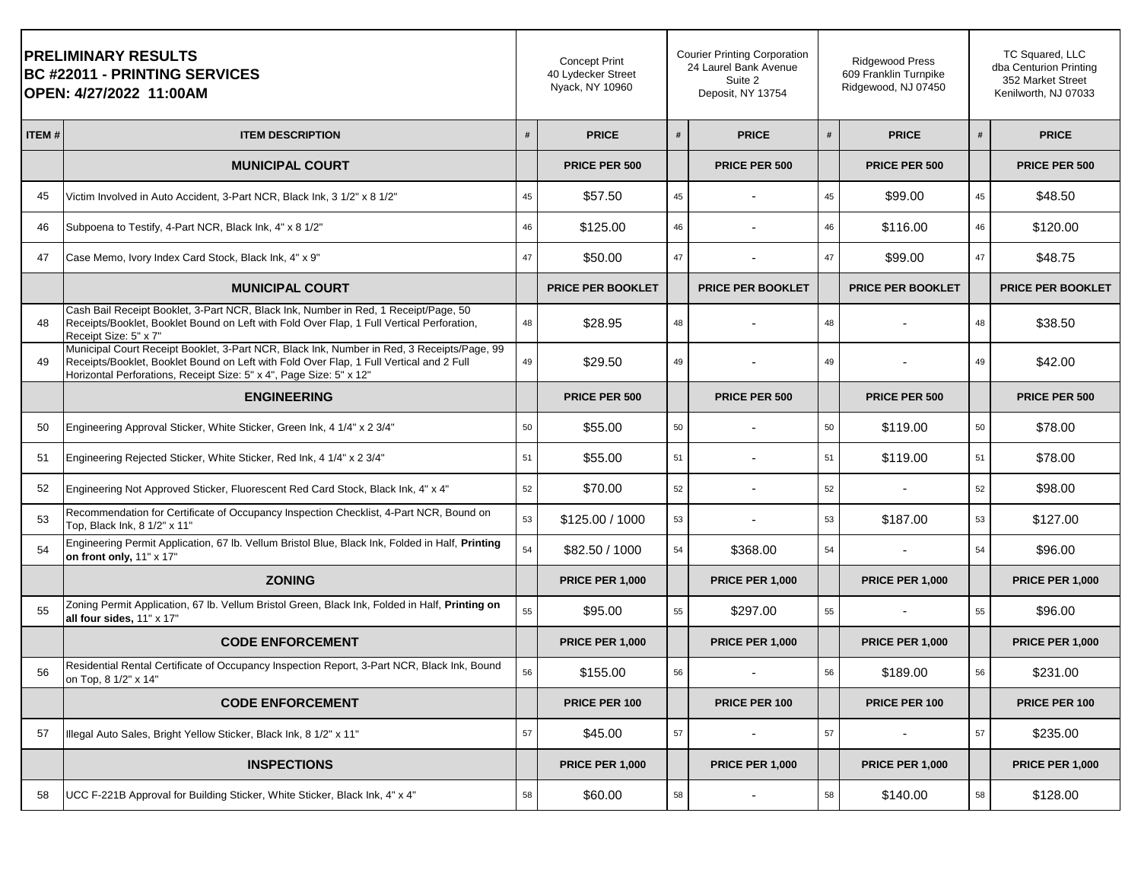| <b> PRELIMINARY RESULTS</b><br><b>BC #22011 - PRINTING SERVICES</b><br> OPEN: 4/27/2022 11:00AM |                                                                                                                                                                                                                                                              | <b>Concept Print</b><br>40 Lydecker Street<br>Nyack, NY 10960 |                          | <b>Courier Printing Corporation</b><br>24 Laurel Bank Avenue<br>Suite 2<br>Deposit, NY 13754 |                          |    | Ridgewood Press<br>609 Franklin Turnpike<br>Ridgewood, NJ 07450 |    | TC Squared, LLC<br>dba Centurion Printing<br>352 Market Street<br>Kenilworth, NJ 07033 |  |
|-------------------------------------------------------------------------------------------------|--------------------------------------------------------------------------------------------------------------------------------------------------------------------------------------------------------------------------------------------------------------|---------------------------------------------------------------|--------------------------|----------------------------------------------------------------------------------------------|--------------------------|----|-----------------------------------------------------------------|----|----------------------------------------------------------------------------------------|--|
| <b>ITEM#</b>                                                                                    | <b>ITEM DESCRIPTION</b>                                                                                                                                                                                                                                      | #                                                             | <b>PRICE</b>             | #                                                                                            | <b>PRICE</b>             | #  | <b>PRICE</b>                                                    |    | <b>PRICE</b>                                                                           |  |
|                                                                                                 | <b>MUNICIPAL COURT</b>                                                                                                                                                                                                                                       |                                                               | PRICE PER 500            |                                                                                              | PRICE PER 500            |    | PRICE PER 500                                                   |    | PRICE PER 500                                                                          |  |
| 45                                                                                              | Victim Involved in Auto Accident, 3-Part NCR, Black Ink, 3 1/2" x 8 1/2"                                                                                                                                                                                     | 45                                                            | \$57.50                  | 45                                                                                           |                          | 45 | \$99.00                                                         | 45 | \$48.50                                                                                |  |
| 46                                                                                              | Subpoena to Testify, 4-Part NCR, Black Ink, 4" x 8 1/2"                                                                                                                                                                                                      | 46                                                            | \$125.00                 | 46                                                                                           |                          | 46 | \$116.00                                                        | 46 | \$120.00                                                                               |  |
| 47                                                                                              | Case Memo, Ivory Index Card Stock, Black Ink, 4" x 9"                                                                                                                                                                                                        | 47                                                            | \$50.00                  | 47                                                                                           |                          | 47 | \$99.00                                                         | 47 | \$48.75                                                                                |  |
|                                                                                                 | <b>MUNICIPAL COURT</b>                                                                                                                                                                                                                                       |                                                               | <b>PRICE PER BOOKLET</b> |                                                                                              | <b>PRICE PER BOOKLET</b> |    | PRICE PER BOOKLET                                               |    | <b>PRICE PER BOOKLET</b>                                                               |  |
| 48                                                                                              | Cash Bail Receipt Booklet, 3-Part NCR, Black Ink, Number in Red, 1 Receipt/Page, 50<br>Receipts/Booklet, Booklet Bound on Left with Fold Over Flap, 1 Full Vertical Perforation,<br>Receipt Size: 5" x 7"                                                    | 48                                                            | \$28.95                  | 48                                                                                           |                          | 48 |                                                                 | 48 | \$38.50                                                                                |  |
| 49                                                                                              | Municipal Court Receipt Booklet, 3-Part NCR, Black Ink, Number in Red, 3 Receipts/Page, 99<br>Receipts/Booklet, Booklet Bound on Left with Fold Over Flap, 1 Full Vertical and 2 Full<br>Horizontal Perforations, Receipt Size: 5" x 4", Page Size: 5" x 12" | 49                                                            | \$29.50                  | 49                                                                                           |                          | 49 |                                                                 | 49 | \$42.00                                                                                |  |
|                                                                                                 | <b>ENGINEERING</b>                                                                                                                                                                                                                                           |                                                               | PRICE PER 500            |                                                                                              | PRICE PER 500            |    | PRICE PER 500                                                   |    | PRICE PER 500                                                                          |  |
| 50                                                                                              | Engineering Approval Sticker, White Sticker, Green Ink, 4 1/4" x 2 3/4"                                                                                                                                                                                      | 50                                                            | \$55.00                  | 50                                                                                           |                          | 50 | \$119.00                                                        | 50 | \$78.00                                                                                |  |
| 51                                                                                              | Engineering Rejected Sticker, White Sticker, Red Ink, 4 1/4" x 2 3/4"                                                                                                                                                                                        | 51                                                            | \$55.00                  | 51                                                                                           |                          | 51 | \$119.00                                                        | 51 | \$78.00                                                                                |  |
| 52                                                                                              | Engineering Not Approved Sticker, Fluorescent Red Card Stock, Black Ink, 4" x 4"                                                                                                                                                                             | 52                                                            | \$70.00                  | 52                                                                                           |                          | 52 |                                                                 | 52 | \$98.00                                                                                |  |
| 53                                                                                              | Recommendation for Certificate of Occupancy Inspection Checklist, 4-Part NCR, Bound on<br>Top, Black Ink, 8 1/2" x 11"                                                                                                                                       | 53                                                            | \$125.00 / 1000          | 53                                                                                           |                          | 53 | \$187.00                                                        | 53 | \$127.00                                                                               |  |
| 54                                                                                              | Engineering Permit Application, 67 lb. Vellum Bristol Blue, Black Ink, Folded in Half, Printing<br>on front only, 11" x 17"                                                                                                                                  | 54                                                            | \$82.50 / 1000           | 54                                                                                           | \$368.00                 | 54 |                                                                 | 54 | \$96.00                                                                                |  |
|                                                                                                 | <b>ZONING</b>                                                                                                                                                                                                                                                |                                                               | <b>PRICE PER 1,000</b>   |                                                                                              | <b>PRICE PER 1,000</b>   |    | <b>PRICE PER 1,000</b>                                          |    | <b>PRICE PER 1,000</b>                                                                 |  |
| 55                                                                                              | Zoning Permit Application, 67 lb. Vellum Bristol Green, Black Ink, Folded in Half, Printing on<br>all four sides, 11" x 17"                                                                                                                                  | 55                                                            | \$95.00                  | 55                                                                                           | \$297.00                 | 55 |                                                                 | 55 | \$96.00                                                                                |  |
|                                                                                                 | <b>CODE ENFORCEMENT</b>                                                                                                                                                                                                                                      |                                                               | <b>PRICE PER 1,000</b>   |                                                                                              | <b>PRICE PER 1,000</b>   |    | <b>PRICE PER 1,000</b>                                          |    | <b>PRICE PER 1,000</b>                                                                 |  |
| 56                                                                                              | Residential Rental Certificate of Occupancy Inspection Report, 3-Part NCR, Black Ink, Bound<br>on Top, 8 1/2" x 14"                                                                                                                                          | 56                                                            | \$155.00                 | 56                                                                                           |                          | 56 | \$189.00                                                        | 56 | \$231.00                                                                               |  |
|                                                                                                 | <b>CODE ENFORCEMENT</b>                                                                                                                                                                                                                                      |                                                               | PRICE PER 100            |                                                                                              | PRICE PER 100            |    | PRICE PER 100                                                   |    | PRICE PER 100                                                                          |  |
| 57                                                                                              | Illegal Auto Sales, Bright Yellow Sticker, Black Ink, 8 1/2" x 11"                                                                                                                                                                                           | 57                                                            | \$45.00                  | 57                                                                                           |                          | 57 |                                                                 | 57 | \$235.00                                                                               |  |
|                                                                                                 | <b>INSPECTIONS</b>                                                                                                                                                                                                                                           |                                                               | <b>PRICE PER 1,000</b>   |                                                                                              | <b>PRICE PER 1,000</b>   |    | <b>PRICE PER 1,000</b>                                          |    | <b>PRICE PER 1,000</b>                                                                 |  |
| 58                                                                                              | UCC F-221B Approval for Building Sticker, White Sticker, Black Ink, 4" x 4"                                                                                                                                                                                  | 58                                                            | \$60.00                  | 58                                                                                           |                          | 58 | \$140.00                                                        | 58 | \$128.00                                                                               |  |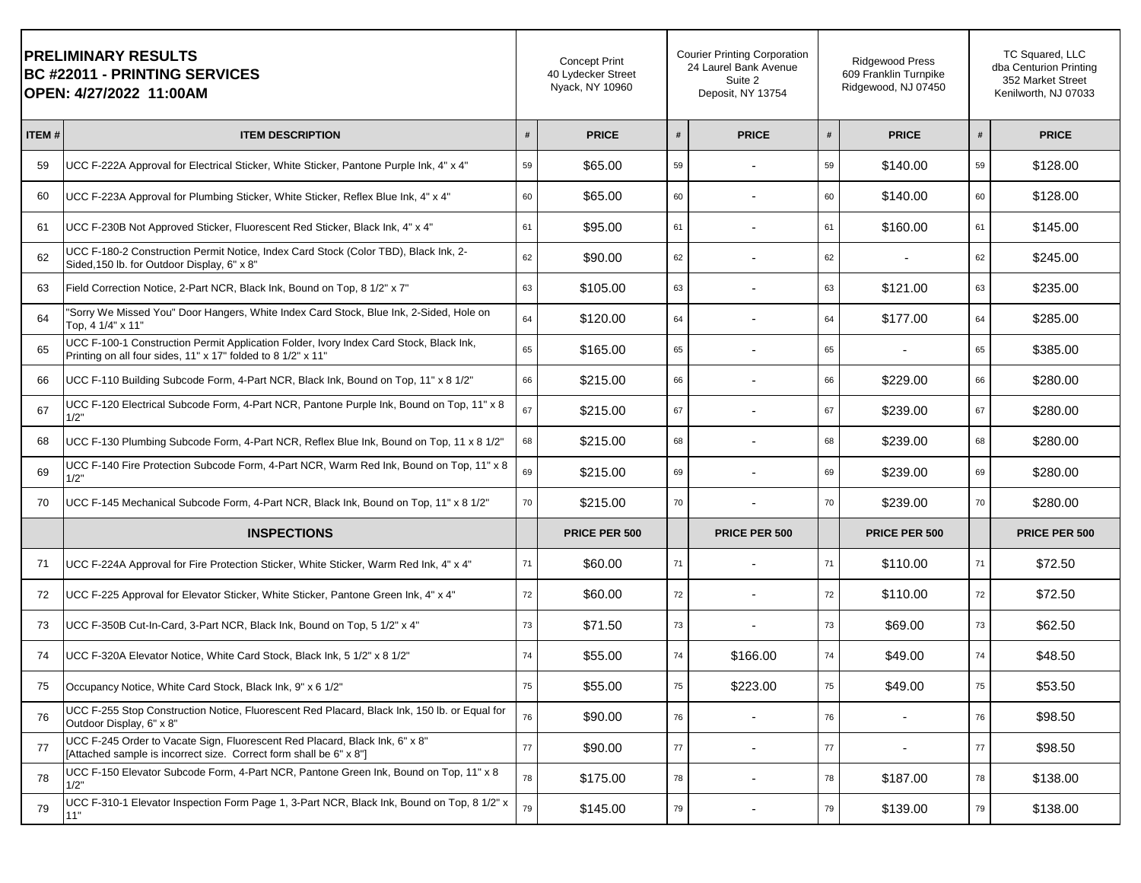| <b>PRELIMINARY RESULTS</b><br><b>BC #22011 - PRINTING SERVICES</b><br> OPEN: 4/27/2022 11:00AM |                                                                                                                                                        | <b>Concept Print</b><br>40 Lydecker Street<br>Nyack, NY 10960 |               | <b>Courier Printing Corporation</b><br>24 Laurel Bank Avenue<br>Suite 2<br>Deposit, NY 13754 |                          |    | <b>Ridgewood Press</b><br>609 Franklin Turnpike<br>Ridgewood, NJ 07450 |    | TC Squared, LLC<br>dba Centurion Printing<br>352 Market Street<br>Kenilworth, NJ 07033 |
|------------------------------------------------------------------------------------------------|--------------------------------------------------------------------------------------------------------------------------------------------------------|---------------------------------------------------------------|---------------|----------------------------------------------------------------------------------------------|--------------------------|----|------------------------------------------------------------------------|----|----------------------------------------------------------------------------------------|
| ITEM#                                                                                          | <b>ITEM DESCRIPTION</b>                                                                                                                                | #                                                             | <b>PRICE</b>  | #                                                                                            | <b>PRICE</b>             | #  | <b>PRICE</b>                                                           | #  | <b>PRICE</b>                                                                           |
| 59                                                                                             | UCC F-222A Approval for Electrical Sticker, White Sticker, Pantone Purple Ink, 4" x 4"                                                                 | 59                                                            | \$65.00       | 59                                                                                           |                          | 59 | \$140.00                                                               | 59 | \$128.00                                                                               |
| 60                                                                                             | UCC F-223A Approval for Plumbing Sticker, White Sticker, Reflex Blue Ink, 4" x 4"                                                                      | 60                                                            | \$65.00       | 60                                                                                           |                          | 60 | \$140.00                                                               | 60 | \$128.00                                                                               |
| 61                                                                                             | UCC F-230B Not Approved Sticker, Fluorescent Red Sticker, Black Ink, 4" x 4"                                                                           | 61                                                            | \$95.00       | 61                                                                                           |                          | 61 | \$160.00                                                               | 61 | \$145.00                                                                               |
| 62                                                                                             | UCC F-180-2 Construction Permit Notice, Index Card Stock (Color TBD), Black Ink, 2-<br>Sided, 150 lb. for Outdoor Display, 6" x 8"                     | 62                                                            | \$90.00       | 62                                                                                           |                          | 62 |                                                                        | 62 | \$245.00                                                                               |
| 63                                                                                             | Field Correction Notice, 2-Part NCR, Black Ink, Bound on Top, 8 1/2" x 7"                                                                              | 63                                                            | \$105.00      | 63                                                                                           |                          | 63 | \$121.00                                                               | 63 | \$235.00                                                                               |
| 64                                                                                             | "Sorry We Missed You" Door Hangers, White Index Card Stock, Blue Ink, 2-Sided, Hole on<br>Top, 4 1/4" x 11"                                            | 64                                                            | \$120.00      | 64                                                                                           |                          | 64 | \$177.00                                                               | 64 | \$285.00                                                                               |
| 65                                                                                             | UCC F-100-1 Construction Permit Application Folder, Ivory Index Card Stock, Black Ink,<br>Printing on all four sides, 11" x 17" folded to 8 1/2" x 11" | 65                                                            | \$165.00      | 65                                                                                           |                          | 65 |                                                                        | 65 | \$385.00                                                                               |
| 66                                                                                             | UCC F-110 Building Subcode Form, 4-Part NCR, Black Ink, Bound on Top, 11" x 8 1/2"                                                                     | 66                                                            | \$215.00      | 66                                                                                           |                          | 66 | \$229.00                                                               | 66 | \$280.00                                                                               |
| 67                                                                                             | UCC F-120 Electrical Subcode Form, 4-Part NCR, Pantone Purple Ink, Bound on Top, 11" x 8<br>1/2"                                                       | 67                                                            | \$215.00      | 67                                                                                           |                          | 67 | \$239.00                                                               | 67 | \$280.00                                                                               |
| 68                                                                                             | UCC F-130 Plumbing Subcode Form, 4-Part NCR, Reflex Blue Ink, Bound on Top, 11 x 8 1/2"                                                                | 68                                                            | \$215.00      | 68                                                                                           |                          | 68 | \$239.00                                                               | 68 | \$280.00                                                                               |
| 69                                                                                             | UCC F-140 Fire Protection Subcode Form, 4-Part NCR, Warm Red Ink, Bound on Top, 11" x 8<br>1/2"                                                        | 69                                                            | \$215.00      | 69                                                                                           |                          | 69 | \$239.00                                                               | 69 | \$280.00                                                                               |
| 70                                                                                             | UCC F-145 Mechanical Subcode Form, 4-Part NCR, Black Ink, Bound on Top, 11" x 8 1/2"                                                                   | 70                                                            | \$215.00      | 70                                                                                           |                          | 70 | \$239.00                                                               | 70 | \$280.00                                                                               |
|                                                                                                | <b>INSPECTIONS</b>                                                                                                                                     |                                                               | PRICE PER 500 |                                                                                              | PRICE PER 500            |    | PRICE PER 500                                                          |    | PRICE PER 500                                                                          |
| 71                                                                                             | UCC F-224A Approval for Fire Protection Sticker, White Sticker, Warm Red Ink, 4" x 4"                                                                  | 71                                                            | \$60.00       | 71                                                                                           |                          | 71 | \$110.00                                                               | 71 | \$72.50                                                                                |
| 72                                                                                             | UCC F-225 Approval for Elevator Sticker, White Sticker, Pantone Green Ink, 4" x 4"                                                                     | 72                                                            | \$60.00       | 72                                                                                           |                          | 72 | \$110.00                                                               | 72 | \$72.50                                                                                |
| 73                                                                                             | UCC F-350B Cut-In-Card, 3-Part NCR, Black Ink, Bound on Top, 5 1/2" x 4"                                                                               | 73                                                            | \$71.50       | 73                                                                                           |                          | 73 | \$69.00                                                                | 73 | \$62.50                                                                                |
| 74                                                                                             | UCC F-320A Elevator Notice, White Card Stock, Black Ink, 5 1/2" x 8 1/2"                                                                               | 74                                                            | \$55.00       | 74                                                                                           | \$166.00                 | 74 | \$49.00                                                                | 74 | \$48.50                                                                                |
| 75                                                                                             | Occupancy Notice, White Card Stock, Black Ink, 9" x 6 1/2"                                                                                             | 75                                                            | \$55.00       | 75                                                                                           | \$223.00                 | 75 | \$49.00                                                                | 75 | \$53.50                                                                                |
| 76                                                                                             | UCC F-255 Stop Construction Notice, Fluorescent Red Placard, Black Ink, 150 lb. or Equal for<br>Outdoor Display, 6" x 8"                               | 76                                                            | \$90.00       | 76                                                                                           |                          | 76 |                                                                        | 76 | \$98.50                                                                                |
| 77                                                                                             | UCC F-245 Order to Vacate Sign, Fluorescent Red Placard, Black Ink, 6" x 8"<br>[Attached sample is incorrect size. Correct form shall be 6" x 8"]      | 77                                                            | \$90.00       | 77                                                                                           |                          | 77 |                                                                        | 77 | \$98.50                                                                                |
| 78                                                                                             | UCC F-150 Elevator Subcode Form, 4-Part NCR, Pantone Green Ink, Bound on Top, 11" x 8<br>1/2"                                                          | 78                                                            | \$175.00      | 78                                                                                           |                          | 78 | \$187.00                                                               | 78 | \$138.00                                                                               |
| 79                                                                                             | UCC F-310-1 Elevator Inspection Form Page 1, 3-Part NCR, Black Ink, Bound on Top, 8 1/2" x<br>$11^{\circ}$                                             | 79                                                            | \$145.00      | 79                                                                                           | $\overline{\phantom{a}}$ | 79 | \$139.00                                                               | 79 | \$138.00                                                                               |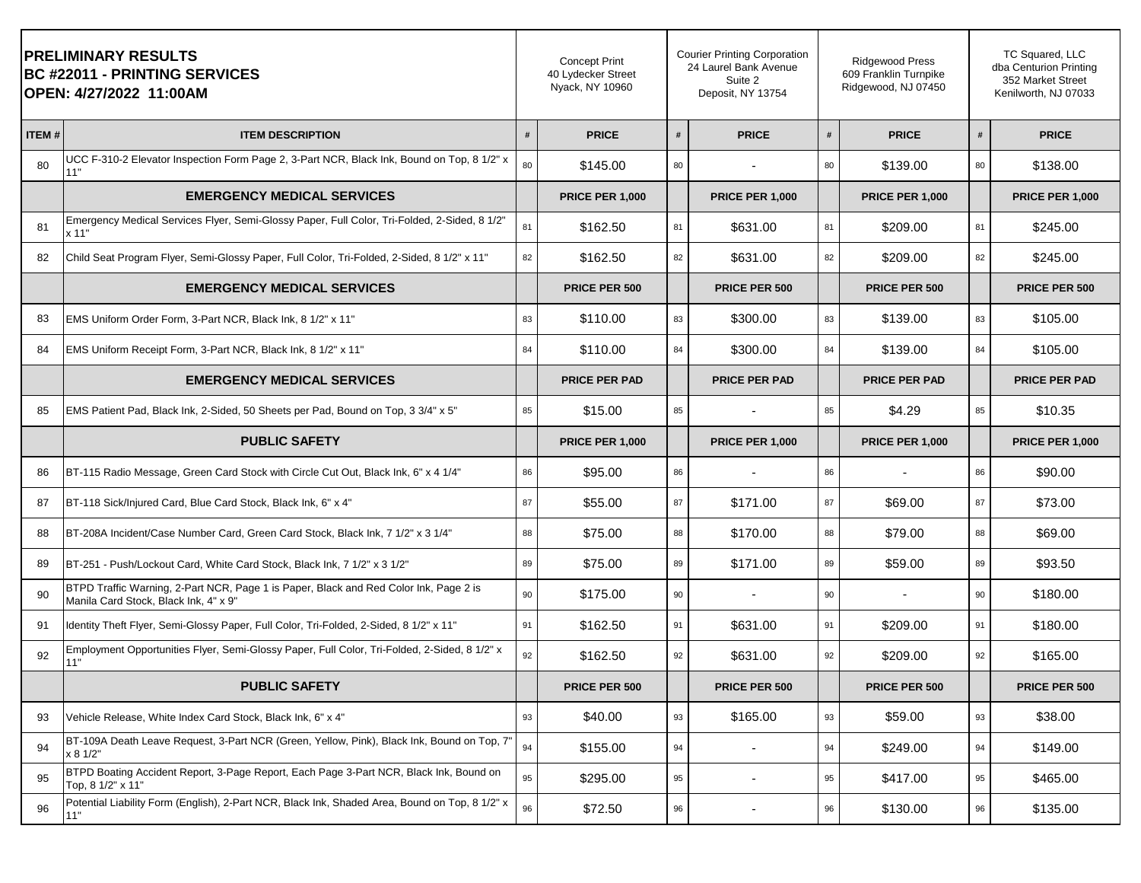|       | <b>PRELIMINARY RESULTS</b><br><b>BC #22011 - PRINTING SERVICES</b><br>OPEN: 4/27/2022 11:00AM                                  |    | <b>Concept Print</b><br>40 Lydecker Street<br>Nyack, NY 10960 |    | <b>Courier Printing Corporation</b><br>24 Laurel Bank Avenue<br>Suite 2<br>Deposit, NY 13754 |    | <b>Ridgewood Press</b><br>609 Franklin Turnpike<br>Ridgewood, NJ 07450 |    | TC Squared, LLC<br>dba Centurion Printing<br>352 Market Street<br>Kenilworth, NJ 07033 |
|-------|--------------------------------------------------------------------------------------------------------------------------------|----|---------------------------------------------------------------|----|----------------------------------------------------------------------------------------------|----|------------------------------------------------------------------------|----|----------------------------------------------------------------------------------------|
| ITEM# | <b>ITEM DESCRIPTION</b>                                                                                                        | #  | <b>PRICE</b>                                                  | #  | <b>PRICE</b>                                                                                 | #  | <b>PRICE</b>                                                           | #  | <b>PRICE</b>                                                                           |
| 80    | UCC F-310-2 Elevator Inspection Form Page 2, 3-Part NCR, Black Ink, Bound on Top, 8 1/2" x<br>11"                              | 80 | \$145.00                                                      | 80 |                                                                                              | 80 | \$139.00                                                               | 80 | \$138.00                                                                               |
|       | <b>EMERGENCY MEDICAL SERVICES</b>                                                                                              |    | <b>PRICE PER 1,000</b>                                        |    | <b>PRICE PER 1,000</b>                                                                       |    | <b>PRICE PER 1,000</b>                                                 |    | <b>PRICE PER 1,000</b>                                                                 |
| 81    | Emergency Medical Services Flyer, Semi-Glossy Paper, Full Color, Tri-Folded, 2-Sided, 8 1/2"<br>x 11"                          | 81 | \$162.50                                                      | 81 | \$631.00                                                                                     | 81 | \$209.00                                                               | 81 | \$245.00                                                                               |
| 82    | Child Seat Program Flyer, Semi-Glossy Paper, Full Color, Tri-Folded, 2-Sided, 8 1/2" x 11"                                     | 82 | \$162.50                                                      | 82 | \$631.00                                                                                     | 82 | \$209.00                                                               | 82 | \$245.00                                                                               |
|       | <b>EMERGENCY MEDICAL SERVICES</b>                                                                                              |    | PRICE PER 500                                                 |    | PRICE PER 500                                                                                |    | PRICE PER 500                                                          |    | PRICE PER 500                                                                          |
| 83    | EMS Uniform Order Form, 3-Part NCR, Black Ink, 8 1/2" x 11"                                                                    | 83 | \$110.00                                                      | 83 | \$300.00                                                                                     | 83 | \$139.00                                                               | 83 | \$105.00                                                                               |
| 84    | EMS Uniform Receipt Form, 3-Part NCR, Black Ink, 8 1/2" x 11"                                                                  | 84 | \$110.00                                                      | 84 | \$300.00                                                                                     | 84 | \$139.00                                                               | 84 | \$105.00                                                                               |
|       | <b>EMERGENCY MEDICAL SERVICES</b>                                                                                              |    | <b>PRICE PER PAD</b>                                          |    | <b>PRICE PER PAD</b>                                                                         |    | <b>PRICE PER PAD</b>                                                   |    | <b>PRICE PER PAD</b>                                                                   |
| 85    | EMS Patient Pad, Black Ink, 2-Sided, 50 Sheets per Pad, Bound on Top, 3 3/4" x 5"                                              | 85 | \$15.00                                                       | 85 |                                                                                              | 85 | \$4.29                                                                 | 85 | \$10.35                                                                                |
|       | <b>PUBLIC SAFETY</b>                                                                                                           |    | <b>PRICE PER 1,000</b>                                        |    | <b>PRICE PER 1,000</b>                                                                       |    | <b>PRICE PER 1,000</b>                                                 |    | <b>PRICE PER 1,000</b>                                                                 |
| 86    | BT-115 Radio Message, Green Card Stock with Circle Cut Out, Black Ink, 6" x 4 1/4"                                             | 86 | \$95.00                                                       | 86 |                                                                                              | 86 |                                                                        | 86 | \$90.00                                                                                |
|       |                                                                                                                                |    |                                                               |    |                                                                                              |    |                                                                        |    |                                                                                        |
| 87    | BT-118 Sick/Injured Card, Blue Card Stock, Black Ink, 6" x 4"                                                                  | 87 | \$55.00                                                       | 87 | \$171.00                                                                                     | 87 | \$69.00                                                                | 87 | \$73.00                                                                                |
| 88    | BT-208A Incident/Case Number Card, Green Card Stock, Black Ink, 7 1/2" x 3 1/4"                                                | 88 | \$75.00                                                       | 88 | \$170.00                                                                                     | 88 | \$79.00                                                                | 88 | \$69.00                                                                                |
| 89    | BT-251 - Push/Lockout Card, White Card Stock, Black Ink, 7 1/2" x 3 1/2"                                                       | 89 | \$75.00                                                       | 89 | \$171.00                                                                                     | 89 | \$59.00                                                                | 89 | \$93.50                                                                                |
| 90    | BTPD Traffic Warning, 2-Part NCR, Page 1 is Paper, Black and Red Color Ink, Page 2 is<br>Manila Card Stock, Black Ink, 4" x 9" | 90 | \$175.00                                                      | 90 |                                                                                              | 90 |                                                                        | 90 | \$180.00                                                                               |
| 91    | ldentity Theft Flyer, Semi-Glossy Paper, Full Color, Tri-Folded, 2-Sided, 8 1/2" x 11"                                         | 91 | \$162.50                                                      | 91 | \$631.00                                                                                     | 91 | \$209.00                                                               | 91 | \$180.00                                                                               |
| 92    | Employment Opportunities Flyer, Semi-Glossy Paper, Full Color, Tri-Folded, 2-Sided, 8 1/2" x<br>11"                            | 92 | \$162.50                                                      | 92 | \$631.00                                                                                     | 92 | \$209.00                                                               | 92 | \$165.00                                                                               |
|       | <b>PUBLIC SAFETY</b>                                                                                                           |    | PRICE PER 500                                                 |    | PRICE PER 500                                                                                |    | PRICE PER 500                                                          |    | PRICE PER 500                                                                          |
| 93    | Vehicle Release, White Index Card Stock, Black Ink, 6" x 4"                                                                    | 93 | \$40.00                                                       | 93 | \$165.00                                                                                     | 93 | \$59.00                                                                | 93 | \$38.00                                                                                |
| 94    | BT-109A Death Leave Request, 3-Part NCR (Green, Yellow, Pink), Black Ink, Bound on Top, 7'<br>x 8 1/2"                         | 94 | \$155.00                                                      | 94 |                                                                                              | 94 | \$249.00                                                               | 94 | \$149.00                                                                               |
| 95    | BTPD Boating Accident Report, 3-Page Report, Each Page 3-Part NCR, Black Ink, Bound on<br>Top, 8 1/2" x 11"                    | 95 | \$295.00                                                      | 95 |                                                                                              | 95 | \$417.00                                                               | 95 | \$465.00                                                                               |